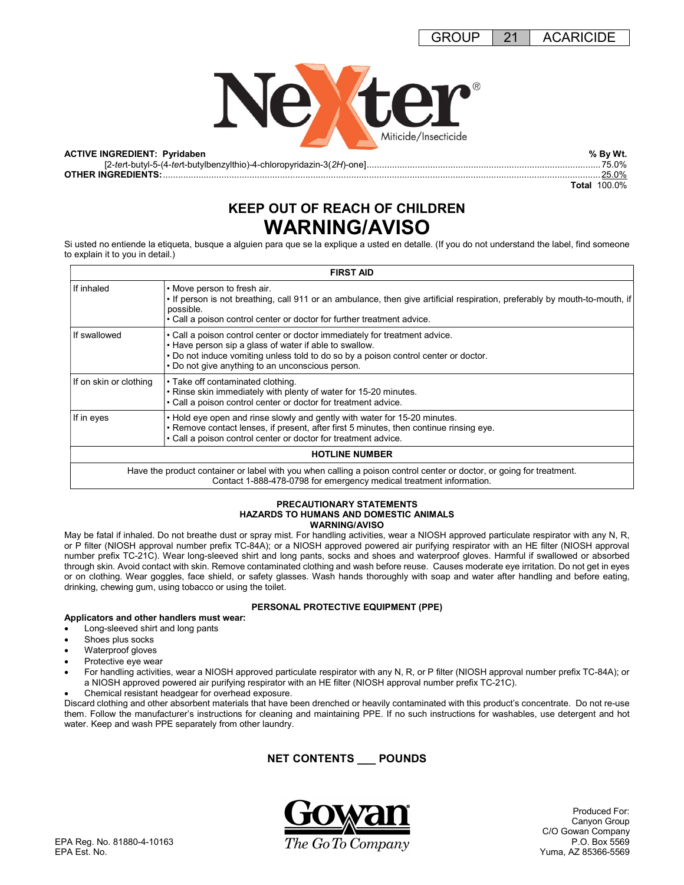

[2-tert-butyl-5-(4-tert-butylbenzylthio)-4-chloropyridazin-3(2H)-one] ............................................................................................ 75.0% OTHER INGREDIENTS: ............................................................................................................................................................................ 25.0%

Total 100.0%

# KEEP OUT OF REACH OF CHILDREN WARNING/AVISO

Si usted no entiende la etiqueta, busque a alguien para que se la explique a usted en detalle. (If you do not understand the label, find someone to explain it to you in detail.)

| <b>FIRST AID</b>       |                                                                                                                                                                                                                                                                                 |  |
|------------------------|---------------------------------------------------------------------------------------------------------------------------------------------------------------------------------------------------------------------------------------------------------------------------------|--|
| If inhaled             | • Move person to fresh air.<br>• If person is not breathing, call 911 or an ambulance, then give artificial respiration, preferably by mouth-to-mouth, if<br>possible.<br>• Call a poison control center or doctor for further treatment advice.                                |  |
| If swallowed           | • Call a poison control center or doctor immediately for treatment advice.<br>. Have person sip a glass of water if able to swallow.<br>. Do not induce vomiting unless told to do so by a poison control center or doctor.<br>• Do not give anything to an unconscious person. |  |
| If on skin or clothing | • Take off contaminated clothing.<br>• Rinse skin immediately with plenty of water for 15-20 minutes.<br>• Call a poison control center or doctor for treatment advice.                                                                                                         |  |
| If in eyes             | . Hold eye open and rinse slowly and gently with water for 15-20 minutes.<br>. Remove contact lenses, if present, after first 5 minutes, then continue rinsing eye.<br>• Call a poison control center or doctor for treatment advice.                                           |  |
|                        | <b>HOTLINE NUMBER</b>                                                                                                                                                                                                                                                           |  |
|                        | Have the product container or label with you when calling a poison control center or doctor, or going for treatment.<br>Contact 1-888-478-0798 for emergency medical treatment information.                                                                                     |  |

#### PRECAUTIONARY STATEMENTS HAZARDS TO HUMANS AND DOMESTIC ANIMALS WARNING/AVISO

May be fatal if inhaled. Do not breathe dust or spray mist. For handling activities, wear a NIOSH approved particulate respirator with any N, R, or P filter (NIOSH approval number prefix TC-84A); or a NIOSH approved powered air purifying respirator with an HE filter (NIOSH approval number prefix TC-21C). Wear long-sleeved shirt and long pants, socks and shoes and waterproof gloves. Harmful if swallowed or absorbed through skin. Avoid contact with skin. Remove contaminated clothing and wash before reuse. Causes moderate eye irritation. Do not get in eyes or on clothing. Wear goggles, face shield, or safety glasses. Wash hands thoroughly with soap and water after handling and before eating, drinking, chewing gum, using tobacco or using the toilet.

### PERSONAL PROTECTIVE EQUIPMENT (PPE)

- Applicators and other handlers must wear:
- Long-sleeved shirt and long pants
- Shoes plus socks
- Waterproof gloves
- Protective eye wear
- For handling activities, wear a NIOSH approved particulate respirator with any N, R, or P filter (NIOSH approval number prefix TC-84A); or a NIOSH approved powered air purifying respirator with an HE filter (NIOSH approval number prefix TC-21C).
- Chemical resistant headgear for overhead exposure.

Discard clothing and other absorbent materials that have been drenched or heavily contaminated with this product's concentrate. Do not re-use them. Follow the manufacturer's instructions for cleaning and maintaining PPE. If no such instructions for washables, use detergent and hot water. Keep and wash PPE separately from other laundry.

## NET CONTENTS \_\_\_ POUNDS



 Produced For: Canyon Group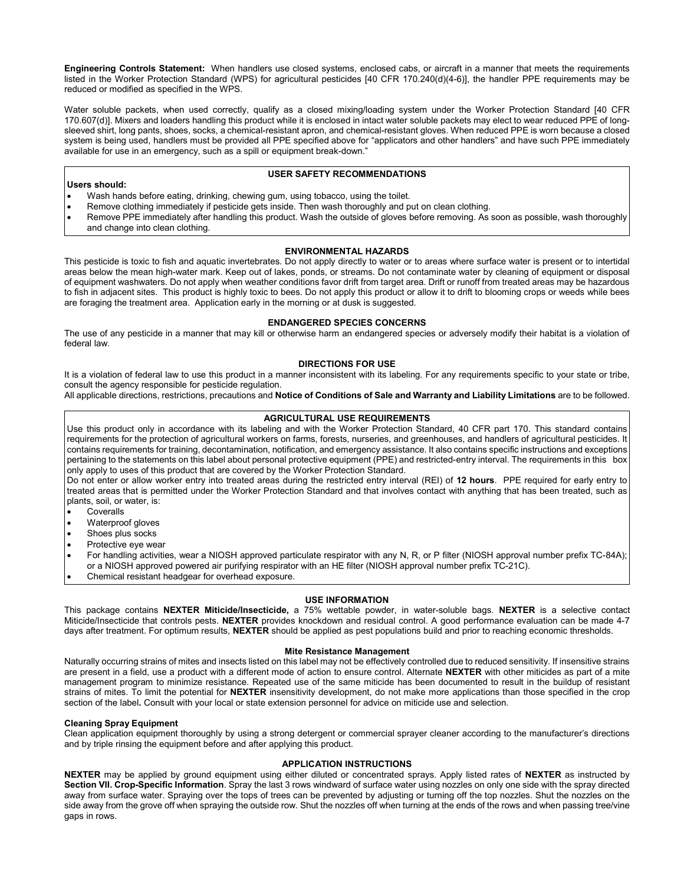Engineering Controls Statement: When handlers use closed systems, enclosed cabs, or aircraft in a manner that meets the requirements listed in the Worker Protection Standard (WPS) for agricultural pesticides [40 CFR 170.240(d)(4-6)], the handler PPE requirements may be reduced or modified as specified in the WPS.

Water soluble packets, when used correctly, qualify as a closed mixing/loading system under the Worker Protection Standard [40 CFR 170.607(d)]. Mixers and loaders handling this product while it is enclosed in intact water soluble packets may elect to wear reduced PPE of longsleeved shirt, long pants, shoes, socks, a chemical-resistant apron, and chemical-resistant gloves. When reduced PPE is worn because a closed system is being used, handlers must be provided all PPE specified above for "applicators and other handlers" and have such PPE immediately available for use in an emergency, such as a spill or equipment break-down."

#### USER SAFETY RECOMMENDATIONS

Users should: Wash hands before eating, drinking, chewing gum, using tobacco, using the toilet.

- Remove clothing immediately if pesticide gets inside. Then wash thoroughly and put on clean clothing.
- Remove PPE immediately after handling this product. Wash the outside of gloves before removing. As soon as possible, wash thoroughly and change into clean clothing.

#### ENVIRONMENTAL HAZARDS

This pesticide is toxic to fish and aquatic invertebrates. Do not apply directly to water or to areas where surface water is present or to intertidal areas below the mean high-water mark. Keep out of lakes, ponds, or streams. Do not contaminate water by cleaning of equipment or disposal of equipment washwaters. Do not apply when weather conditions favor drift from target area. Drift or runoff from treated areas may be hazardous to fish in adjacent sites. This product is highly toxic to bees. Do not apply this product or allow it to drift to blooming crops or weeds while bees are foraging the treatment area. Application early in the morning or at dusk is suggested.

#### ENDANGERED SPECIES CONCERNS

The use of any pesticide in a manner that may kill or otherwise harm an endangered species or adversely modify their habitat is a violation of federal law.

#### DIRECTIONS FOR USE

It is a violation of federal law to use this product in a manner inconsistent with its labeling. For any requirements specific to your state or tribe, consult the agency responsible for pesticide regulation.

All applicable directions, restrictions, precautions and Notice of Conditions of Sale and Warranty and Liability Limitations are to be followed.

#### AGRICULTURAL USE REQUIREMENTS

Use this product only in accordance with its labeling and with the Worker Protection Standard, 40 CFR part 170. This standard contains requirements for the protection of agricultural workers on farms, forests, nurseries, and greenhouses, and handlers of agricultural pesticides. It contains requirements for training, decontamination, notification, and emergency assistance. It also contains specific instructions and exceptions pertaining to the statements on this label about personal protective equipment (PPE) and restricted-entry interval. The requirements in this box only apply to uses of this product that are covered by the Worker Protection Standard.

Do not enter or allow worker entry into treated areas during the restricted entry interval (REI) of 12 hours. PPE required for early entry to treated areas that is permitted under the Worker Protection Standard and that involves contact with anything that has been treated, such as plants, soil, or water, is:

- **Coveralls**
- Waterproof gloves
- Shoes plus socks
- Protective eye wear

For handling activities, wear a NIOSH approved particulate respirator with any N, R, or P filter (NIOSH approval number prefix TC-84A); or a NIOSH approved powered air purifying respirator with an HE filter (NIOSH approval number prefix TC-21C).

Chemical resistant headgear for overhead exposure.

#### USE INFORMATION

This package contains NEXTER Miticide/Insecticide, a 75% wettable powder, in water-soluble bags. NEXTER is a selective contact Miticide/Insecticide that controls pests. NEXTER provides knockdown and residual control. A good performance evaluation can be made 4-7 days after treatment. For optimum results, NEXTER should be applied as pest populations build and prior to reaching economic thresholds.

#### Mite Resistance Management

Naturally occurring strains of mites and insects listed on this label may not be effectively controlled due to reduced sensitivity. If insensitive strains are present in a field, use a product with a different mode of action to ensure control. Alternate NEXTER with other miticides as part of a mite management program to minimize resistance. Repeated use of the same miticide has been documented to result in the buildup of resistant strains of mites. To limit the potential for NEXTER insensitivity development, do not make more applications than those specified in the crop section of the label. Consult with your local or state extension personnel for advice on miticide use and selection.

#### Cleaning Spray Equipment

Clean application equipment thoroughly by using a strong detergent or commercial sprayer cleaner according to the manufacturer's directions and by triple rinsing the equipment before and after applying this product.

#### APPLICATION INSTRUCTIONS

NEXTER may be applied by ground equipment using either diluted or concentrated sprays. Apply listed rates of NEXTER as instructed by Section VII. Crop-Specific Information. Spray the last 3 rows windward of surface water using nozzles on only one side with the spray directed away from surface water. Spraying over the tops of trees can be prevented by adjusting or turning off the top nozzles. Shut the nozzles on the side away from the grove off when spraying the outside row. Shut the nozzles off when turning at the ends of the rows and when passing tree/vine gaps in rows.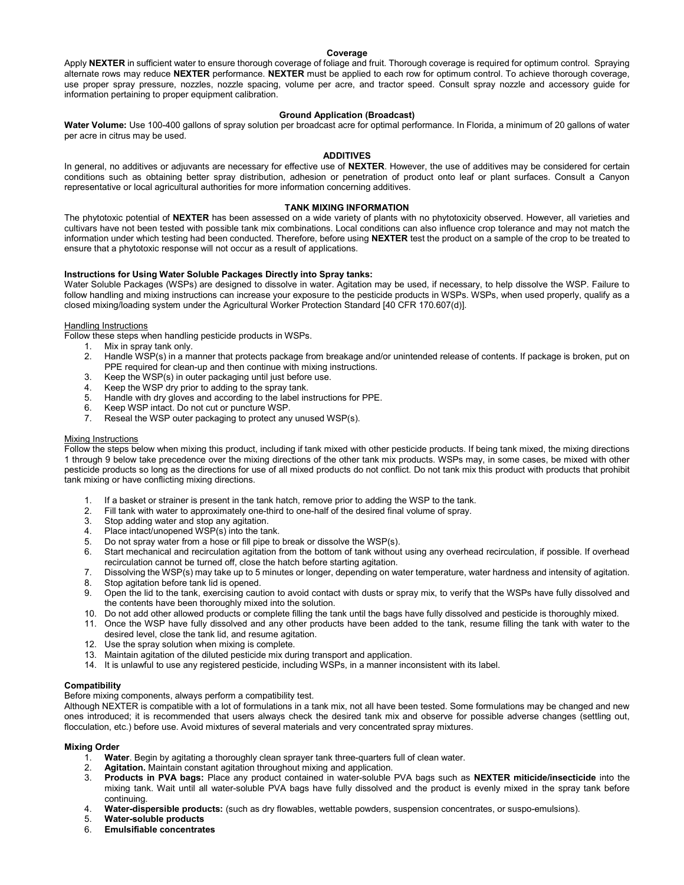#### Coverage

Apply NEXTER in sufficient water to ensure thorough coverage of foliage and fruit. Thorough coverage is required for optimum control. Spraying alternate rows may reduce NEXTER performance. NEXTER must be applied to each row for optimum control. To achieve thorough coverage, use proper spray pressure, nozzles, nozzle spacing, volume per acre, and tractor speed. Consult spray nozzle and accessory guide for information pertaining to proper equipment calibration.

#### Ground Application (Broadcast)

Water Volume: Use 100-400 gallons of spray solution per broadcast acre for optimal performance. In Florida, a minimum of 20 gallons of water per acre in citrus may be used.

#### ADDITIVES

In general, no additives or adjuvants are necessary for effective use of NEXTER. However, the use of additives may be considered for certain conditions such as obtaining better spray distribution, adhesion or penetration of product onto leaf or plant surfaces. Consult a Canyon representative or local agricultural authorities for more information concerning additives.

#### TANK MIXING INFORMATION

The phytotoxic potential of NEXTER has been assessed on a wide variety of plants with no phytotoxicity observed. However, all varieties and cultivars have not been tested with possible tank mix combinations. Local conditions can also influence crop tolerance and may not match the information under which testing had been conducted. Therefore, before using NEXTER test the product on a sample of the crop to be treated to ensure that a phytotoxic response will not occur as a result of applications.

#### Instructions for Using Water Soluble Packages Directly into Spray tanks:

Water Soluble Packages (WSPs) are designed to dissolve in water. Agitation may be used, if necessary, to help dissolve the WSP. Failure to follow handling and mixing instructions can increase your exposure to the pesticide products in WSPs. WSPs, when used properly, qualify as a closed mixing/loading system under the Agricultural Worker Protection Standard [40 CFR 170.607(d)].

#### Handling Instructions

Follow these steps when handling pesticide products in WSPs.

- 1. Mix in spray tank only.
- 2. Handle WSP(s) in a manner that protects package from breakage and/or unintended release of contents. If package is broken, put on PPE required for clean-up and then continue with mixing instructions.
- 3. Keep the WSP(s) in outer packaging until just before use.
- 4. Keep the WSP dry prior to adding to the spray tank.
- 5. Handle with dry gloves and according to the label instructions for PPE.<br>6. Keep WSP intact. Do not cut or puncture WSP.<br>7. Reseal the WSP outer packaging to protect any unused WSP(s).
- Keep WSP intact. Do not cut or puncture WSP.
- Reseal the WSP outer packaging to protect any unused WSP(s).

#### Mixing Instructions

Follow the steps below when mixing this product, including if tank mixed with other pesticide products. If being tank mixed, the mixing directions 1 through 9 below take precedence over the mixing directions of the other tank mix products. WSPs may, in some cases, be mixed with other pesticide products so long as the directions for use of all mixed products do not conflict. Do not tank mix this product with products that prohibit tank mixing or have conflicting mixing directions.

- 1. If a basket or strainer is present in the tank hatch, remove prior to adding the WSP to the tank.
- 2. Fill tank with water to approximately one-third to one-half of the desired final volume of spray.
- 3. Stop adding water and stop any agitation.
- 4. Place intact/unopened WSP(s) into the tank.
- 5. Do not spray water from a hose or fill pipe to break or dissolve the WSP(s).<br>6. Start mechanical and recirculation agitation from the bottom of tank without
- Start mechanical and recirculation agitation from the bottom of tank without using any overhead recirculation, if possible. If overhead recirculation cannot be turned off, close the hatch before starting agitation.
- 7. Dissolving the WSP(s) may take up to 5 minutes or longer, depending on water temperature, water hardness and intensity of agitation.
- 8. Stop agitation before tank lid is opened.
- 9. Open the lid to the tank, exercising caution to avoid contact with dusts or spray mix, to verify that the WSPs have fully dissolved and the contents have been thoroughly mixed into the solution.
- 10. Do not add other allowed products or complete filling the tank until the bags have fully dissolved and pesticide is thoroughly mixed.
- 11. Once the WSP have fully dissolved and any other products have been added to the tank, resume filling the tank with water to the desired level, close the tank lid, and resume agitation.
- 12. Use the spray solution when mixing is complete.
- 13. Maintain agitation of the diluted pesticide mix during transport and application.
- 14. It is unlawful to use any registered pesticide, including WSPs, in a manner inconsistent with its label.

#### **Compatibility**

Before mixing components, always perform a compatibility test.

Although NEXTER is compatible with a lot of formulations in a tank mix, not all have been tested. Some formulations may be changed and new ones introduced; it is recommended that users always check the desired tank mix and observe for possible adverse changes (settling out, flocculation, etc.) before use. Avoid mixtures of several materials and very concentrated spray mixtures.

#### Mixing Order

- 1. Water. Begin by agitating a thoroughly clean sprayer tank three-quarters full of clean water.
- 
- 2. **Agitation.** Maintain constant agitation throughout mixing and application.<br>3. **Products in PVA bags:** Place any product contained in water-soluble Products in PVA bags: Place any product contained in water-soluble PVA bags such as NEXTER miticide/insecticide into the mixing tank. Wait until all water-soluble PVA bags have fully dissolved and the product is evenly mixed in the spray tank before continuing.
- 4. Water-dispersible products: (such as dry flowables, wettable powders, suspension concentrates, or suspo-emulsions).
- 5. Water-soluble products<br>6. Emulsifiable concentrate
- 6. Emulsifiable concentrates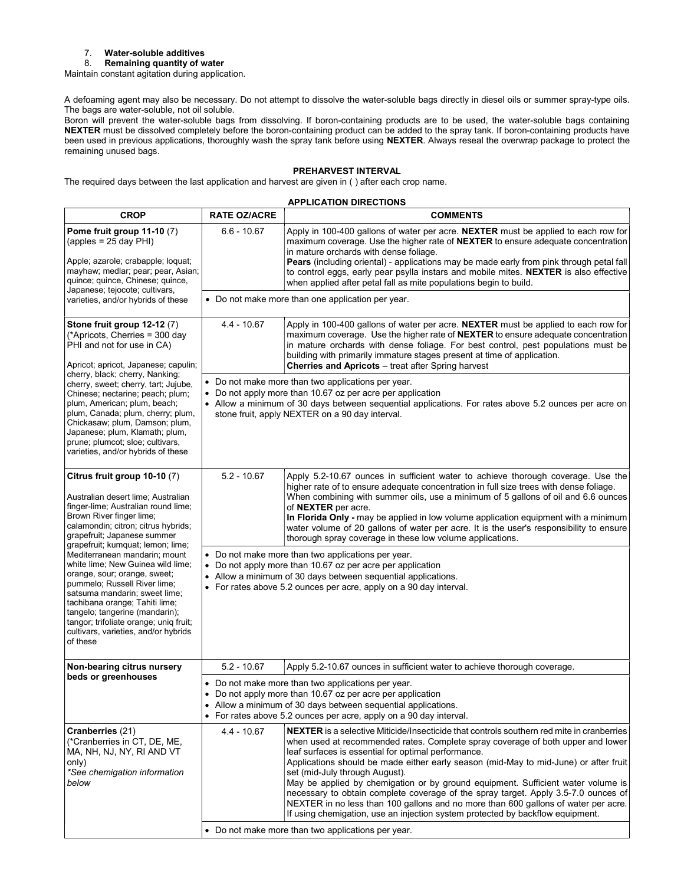# 7. Water-soluble additives<br>8. Remaining quantity of w

Remaining quantity of water

Maintain constant agitation during application.

A defoaming agent may also be necessary. Do not attempt to dissolve the water-soluble bags directly in diesel oils or summer spray-type oils. The bags are water-soluble, not oil soluble.

Boron will prevent the water-soluble bags from dissolving. If boron-containing products are to be used, the water-soluble bags containing NEXTER must be dissolved completely before the boron-containing product can be added to the spray tank. If boron-containing products have been used in previous applications, thoroughly wash the spray tank before using NEXTER. Always reseal the overwrap package to protect the remaining unused bags.

#### PREHARVEST INTERVAL

The required days between the last application and harvest are given in ( ) after each crop name.

#### APPLICATION DIRECTIONS

| <b>CROP</b>                                                                                                                                                                                                                                                                                                                                                                | <b>RATE OZ/ACRE</b>                                                                                                                                                                                                                                                       | <b>COMMENTS</b>                                                                                                                                                                                                                                                                                                                                                                                                                                                                                                                                                                                                                                                                                                                                                              |  |  |
|----------------------------------------------------------------------------------------------------------------------------------------------------------------------------------------------------------------------------------------------------------------------------------------------------------------------------------------------------------------------------|---------------------------------------------------------------------------------------------------------------------------------------------------------------------------------------------------------------------------------------------------------------------------|------------------------------------------------------------------------------------------------------------------------------------------------------------------------------------------------------------------------------------------------------------------------------------------------------------------------------------------------------------------------------------------------------------------------------------------------------------------------------------------------------------------------------------------------------------------------------------------------------------------------------------------------------------------------------------------------------------------------------------------------------------------------------|--|--|
| Pome fruit group 11-10 (7)<br>$(\text{apples} = 25 \text{ day PH})$<br>Apple; azarole; crabapple; loquat;<br>mayhaw; medlar; pear; pear, Asian;<br>quince; quince, Chinese; quince,                                                                                                                                                                                        | $6.6 - 10.67$                                                                                                                                                                                                                                                             | Apply in 100-400 gallons of water per acre. NEXTER must be applied to each row for<br>maximum coverage. Use the higher rate of NEXTER to ensure adequate concentration<br>in mature orchards with dense foliage.<br>Pears (including oriental) - applications may be made early from pink through petal fall<br>to control eggs, early pear psylla instars and mobile mites. NEXTER is also effective<br>when applied after petal fall as mite populations begin to build.                                                                                                                                                                                                                                                                                                   |  |  |
| Japanese; tejocote; cultivars,<br>varieties, and/or hybrids of these                                                                                                                                                                                                                                                                                                       | • Do not make more than one application per year.                                                                                                                                                                                                                         |                                                                                                                                                                                                                                                                                                                                                                                                                                                                                                                                                                                                                                                                                                                                                                              |  |  |
| Stone fruit group 12-12 (7)<br>(*Apricots, Cherries = 300 day<br>PHI and not for use in CA)<br>Apricot; apricot, Japanese; capulin;                                                                                                                                                                                                                                        | $4.4 - 10.67$                                                                                                                                                                                                                                                             | Apply in 100-400 gallons of water per acre. NEXTER must be applied to each row for<br>maximum coverage. Use the higher rate of NEXTER to ensure adequate concentration<br>in mature orchards with dense foliage. For best control, pest populations must be<br>building with primarily immature stages present at time of application.<br><b>Cherries and Apricots</b> - treat after Spring harvest                                                                                                                                                                                                                                                                                                                                                                          |  |  |
| cherry, black; cherry, Nanking;<br>cherry, sweet; cherry, tart; Jujube,<br>Chinese; nectarine; peach; plum;<br>plum, American; plum, beach;<br>plum, Canada; plum, cherry; plum,<br>Chickasaw; plum, Damson; plum,<br>Japanese; plum, Klamath; plum,<br>prune; plumcot; sloe; cultivars,<br>varieties, and/or hybrids of these                                             | • Do not make more than two applications per year.<br>Do not apply more than 10.67 oz per acre per application<br>• Allow a minimum of 30 days between sequential applications. For rates above 5.2 ounces per acre on<br>stone fruit, apply NEXTER on a 90 day interval. |                                                                                                                                                                                                                                                                                                                                                                                                                                                                                                                                                                                                                                                                                                                                                                              |  |  |
| Citrus fruit group 10-10 (7)<br>Australian desert lime; Australian<br>finger-lime; Australian round lime;<br>Brown River finger lime;<br>calamondin; citron; citrus hybrids;<br>grapefruit; Japanese summer                                                                                                                                                                | $5.2 - 10.67$                                                                                                                                                                                                                                                             | Apply 5.2-10.67 ounces in sufficient water to achieve thorough coverage. Use the<br>higher rate of to ensure adequate concentration in full size trees with dense foliage.<br>When combining with summer oils, use a minimum of 5 gallons of oil and 6.6 ounces<br>of NEXTER per acre.<br>In Florida Only - may be applied in low volume application equipment with a minimum<br>water volume of 20 gallons of water per acre. It is the user's responsibility to ensure<br>thorough spray coverage in these low volume applications.                                                                                                                                                                                                                                        |  |  |
| grapefruit; kumquat; lemon; lime;<br>Mediterranean mandarin; mount<br>white lime; New Guinea wild lime;<br>orange, sour; orange, sweet;<br>pummelo; Russell River lime;<br>satsuma mandarin; sweet lime;<br>tachibana orange; Tahiti lime;<br>tangelo; tangerine (mandarin);<br>tangor; trifoliate orange; uniq fruit;<br>cultivars, varieties, and/or hybrids<br>of these | • Do not make more than two applications per year.<br>• Do not apply more than 10.67 oz per acre per application<br>• Allow a minimum of 30 days between sequential applications.<br>• For rates above 5.2 ounces per acre, apply on a 90 day interval.                   |                                                                                                                                                                                                                                                                                                                                                                                                                                                                                                                                                                                                                                                                                                                                                                              |  |  |
| Non-bearing citrus nursery                                                                                                                                                                                                                                                                                                                                                 | $5.2 - 10.67$                                                                                                                                                                                                                                                             | Apply 5.2-10.67 ounces in sufficient water to achieve thorough coverage.                                                                                                                                                                                                                                                                                                                                                                                                                                                                                                                                                                                                                                                                                                     |  |  |
| beds or greenhouses                                                                                                                                                                                                                                                                                                                                                        | • Do not make more than two applications per year.<br>Do not apply more than 10.67 oz per acre per application<br>Allow a minimum of 30 days between sequential applications.<br>٠<br>• For rates above 5.2 ounces per acre, apply on a 90 day interval.                  |                                                                                                                                                                                                                                                                                                                                                                                                                                                                                                                                                                                                                                                                                                                                                                              |  |  |
| Cranberries (21)<br>(*Cranberries in CT, DE, ME,<br>MA, NH, NJ, NY, RI AND VT<br>only)<br>*See chemigation information<br>below                                                                                                                                                                                                                                            | 4.4 - 10.67                                                                                                                                                                                                                                                               | <b>NEXTER</b> is a selective Miticide/Insecticide that controls southern red mite in cranberries<br>when used at recommended rates. Complete spray coverage of both upper and lower<br>leaf surfaces is essential for optimal performance.<br>Applications should be made either early season (mid-May to mid-June) or after fruit<br>set (mid-July through August).<br>May be applied by chemigation or by ground equipment. Sufficient water volume is<br>necessary to obtain complete coverage of the spray target. Apply 3.5-7.0 ounces of<br>NEXTER in no less than 100 gallons and no more than 600 gallons of water per acre.<br>If using chemigation, use an injection system protected by backflow equipment.<br>• Do not make more than two applications per year. |  |  |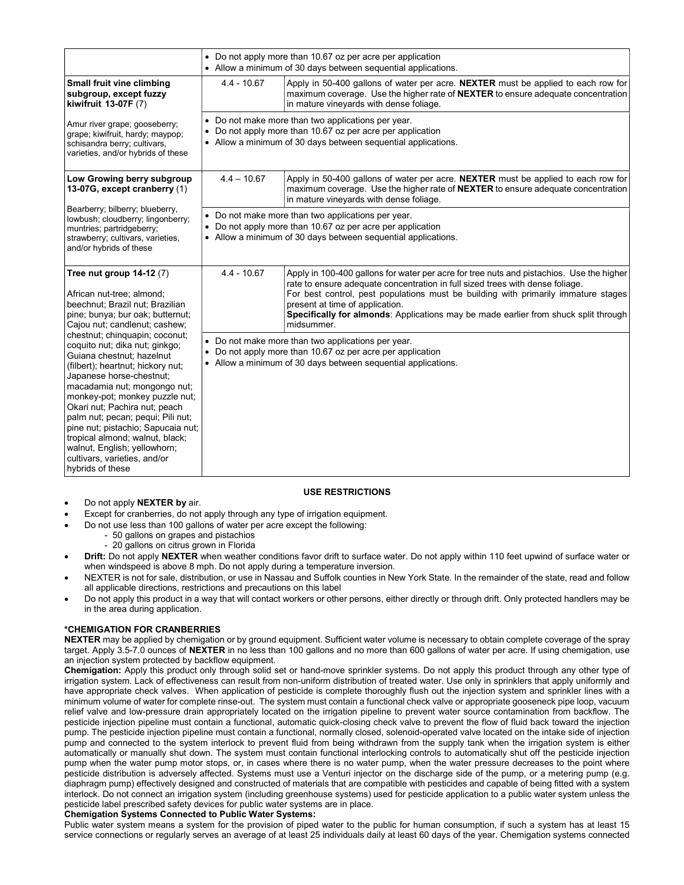|                                                                                                                                                                                                                                                                                                                                                                                                                                                                     |                                                                                                                                                                                   | • Do not apply more than 10.67 oz per acre per application<br>• Allow a minimum of 30 days between sequential applications.                                                                                                                                                                                                                                                                             |  |  |
|---------------------------------------------------------------------------------------------------------------------------------------------------------------------------------------------------------------------------------------------------------------------------------------------------------------------------------------------------------------------------------------------------------------------------------------------------------------------|-----------------------------------------------------------------------------------------------------------------------------------------------------------------------------------|---------------------------------------------------------------------------------------------------------------------------------------------------------------------------------------------------------------------------------------------------------------------------------------------------------------------------------------------------------------------------------------------------------|--|--|
| Small fruit vine climbing<br>subgroup, except fuzzy<br>kiwifruit 13-07F (7)                                                                                                                                                                                                                                                                                                                                                                                         | $4.4 - 10.67$                                                                                                                                                                     | Apply in 50-400 gallons of water per acre. NEXTER must be applied to each row for<br>maximum coverage. Use the higher rate of <b>NEXTER</b> to ensure adequate concentration<br>in mature vineyards with dense foliage.                                                                                                                                                                                 |  |  |
| Amur river grape; gooseberry;<br>grape; kiwifruit, hardy; maypop;<br>schisandra berry; cultivars,<br>varieties, and/or hybrids of these                                                                                                                                                                                                                                                                                                                             | • Do not make more than two applications per year.<br>• Do not apply more than 10.67 oz per acre per application<br>• Allow a minimum of 30 days between sequential applications. |                                                                                                                                                                                                                                                                                                                                                                                                         |  |  |
| Low Growing berry subgroup<br>13-07G, except cranberry (1)                                                                                                                                                                                                                                                                                                                                                                                                          | $4.4 - 10.67$                                                                                                                                                                     | Apply in 50-400 gallons of water per acre. NEXTER must be applied to each row for<br>maximum coverage. Use the higher rate of NEXTER to ensure adequate concentration<br>in mature vinevards with dense foliage.                                                                                                                                                                                        |  |  |
| Bearberry; bilberry; blueberry,<br>lowbush; cloudberry; lingonberry;<br>muntries; partridgeberry;<br>strawberry; cultivars, varieties,<br>and/or hybrids of these                                                                                                                                                                                                                                                                                                   | • Do not make more than two applications per year.<br>• Do not apply more than 10.67 oz per acre per application<br>• Allow a minimum of 30 days between sequential applications. |                                                                                                                                                                                                                                                                                                                                                                                                         |  |  |
| Tree nut group $14-12(7)$<br>African nut-tree; almond;<br>beechnut; Brazil nut; Brazilian<br>pine; bunya; bur oak; butternut;<br>Cajou nut; candlenut; cashew;                                                                                                                                                                                                                                                                                                      | $4.4 - 10.67$                                                                                                                                                                     | Apply in 100-400 gallons for water per acre for tree nuts and pistachios. Use the higher<br>rate to ensure adequate concentration in full sized trees with dense foliage.<br>For best control, pest populations must be building with primarily immature stages<br>present at time of application.<br>Specifically for almonds: Applications may be made earlier from shuck split through<br>midsummer. |  |  |
| chestnut; chinquapin; coconut;<br>coquito nut; dika nut; ginkgo;<br>Guiana chestnut; hazelnut<br>(filbert); heartnut; hickory nut;<br>Japanese horse-chestnut;<br>macadamia nut; mongongo nut;<br>monkey-pot; monkey puzzle nut;<br>Okari nut; Pachira nut; peach<br>palm nut; pecan; pequi; Pili nut;<br>pine nut; pistachio; Sapucaia nut;<br>tropical almond; walnut, black;<br>walnut, English; yellowhorn;<br>cultivars, varieties, and/or<br>hybrids of these |                                                                                                                                                                                   | • Do not make more than two applications per year.<br>• Do not apply more than 10.67 oz per acre per application<br>• Allow a minimum of 30 days between sequential applications.                                                                                                                                                                                                                       |  |  |

#### USE RESTRICTIONS

- Do not apply NEXTER by air.
- Except for cranberries, do not apply through any type of irrigation equipment.
- Do not use less than 100 gallons of water per acre except the following:
	- 50 gallons on grapes and pistachios
	- 20 gallons on citrus grown in Florida
- Drift: Do not apply NEXTER when weather conditions favor drift to surface water. Do not apply within 110 feet upwind of surface water or when windspeed is above 8 mph. Do not apply during a temperature inversion.
- NEXTER is not for sale, distribution, or use in Nassau and Suffolk counties in New York State. In the remainder of the state, read and follow all applicable directions, restrictions and precautions on this label
- Do not apply this product in a way that will contact workers or other persons, either directly or through drift. Only protected handlers may be in the area during application.

#### \*CHEMIGATION FOR CRANBERRIES

NEXTER may be applied by chemigation or by ground equipment. Sufficient water volume is necessary to obtain complete coverage of the spray target. Apply 3.5-7.0 ounces of NEXTER in no less than 100 gallons and no more than 600 gallons of water per acre. If using chemigation, use an injection system protected by backflow equipment.

Chemigation: Apply this product only through solid set or hand-move sprinkler systems. Do not apply this product through any other type of irrigation system. Lack of effectiveness can result from non-uniform distribution of treated water. Use only in sprinklers that apply uniformly and have appropriate check valves. When application of pesticide is complete thoroughly flush out the injection system and sprinkler lines with a minimum volume of water for complete rinse-out. The system must contain a functional check valve or appropriate gooseneck pipe loop, vacuum relief valve and low-pressure drain appropriately located on the irrigation pipeline to prevent water source contamination from backflow. The pesticide injection pipeline must contain a functional, automatic quick-closing check valve to prevent the flow of fluid back toward the injection pump. The pesticide injection pipeline must contain a functional, normally closed, solenoid-operated valve located on the intake side of injection pump and connected to the system interlock to prevent fluid from being withdrawn from the supply tank when the irrigation system is either automatically or manually shut down. The system must contain functional interlocking controls to automatically shut off the pesticide injection pump when the water pump motor stops, or, in cases where there is no water pump, when the water pressure decreases to the point where pesticide distribution is adversely affected. Systems must use a Venturi injector on the discharge side of the pump, or a metering pump (e.g. diaphragm pump) effectively designed and constructed of materials that are compatible with pesticides and capable of being fitted with a system interlock. Do not connect an irrigation system (including greenhouse systems) used for pesticide application to a public water system unless the pesticide label prescribed safety devices for public water systems are in place.

#### Chemigation Systems Connected to Public Water Systems:

Public water system means a system for the provision of piped water to the public for human consumption, if such a system has at least 15 service connections or regularly serves an average of at least 25 individuals daily at least 60 days of the year. Chemigation systems connected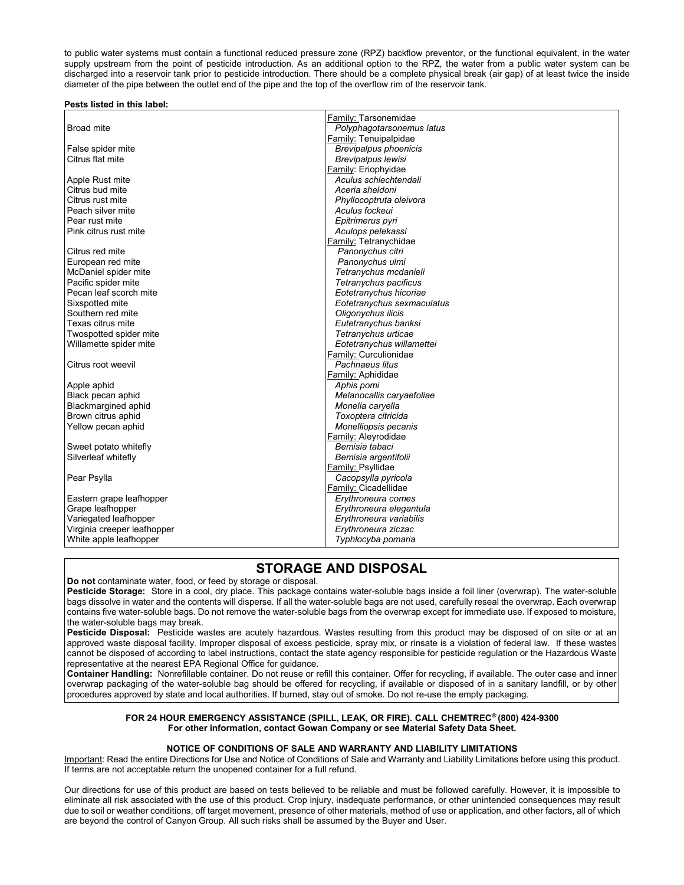to public water systems must contain a functional reduced pressure zone (RPZ) backflow preventor, or the functional equivalent, in the water supply upstream from the point of pesticide introduction. As an additional option to the RPZ, the water from a public water system can be discharged into a reservoir tank prior to pesticide introduction. There should be a complete physical break (air gap) of at least twice the inside diameter of the pipe between the outlet end of the pipe and the top of the overflow rim of the reservoir tank.

#### Pests listed in this label:

| <b>Broad mite</b>                     | Family: Tarsonemidae                               |
|---------------------------------------|----------------------------------------------------|
|                                       | Polyphagotarsonemus latus<br>Family: Tenuipalpidae |
|                                       | <b>Brevipalpus phoenicis</b>                       |
| False spider mite<br>Citrus flat mite |                                                    |
|                                       | Brevipalpus lewisi                                 |
|                                       | Family: Eriophyidae                                |
| Apple Rust mite                       | Aculus schlechtendali                              |
| Citrus bud mite                       | Aceria sheldoni                                    |
| Citrus rust mite                      | Phyllocoptruta oleivora                            |
| Peach silver mite                     | Aculus fockeui                                     |
| Pear rust mite                        | Epitrimerus pyri                                   |
| Pink citrus rust mite                 | Aculops pelekassi                                  |
|                                       | Family: Tetranychidae                              |
| Citrus red mite                       | Panonychus citri                                   |
| European red mite                     | Panonychus ulmi                                    |
| McDaniel spider mite                  | Tetranychus mcdanieli                              |
| Pacific spider mite                   | Tetranychus pacificus                              |
| Pecan leaf scorch mite                | Eotetranychus hicoriae                             |
| Sixspotted mite                       | Eotetranychus sexmaculatus                         |
| Southern red mite                     | Oligonychus ilicis                                 |
| Texas citrus mite                     | Eutetranychus banksi                               |
| Twospotted spider mite                | Tetranychus urticae                                |
| Willamette spider mite                | Eotetranychus willamettei                          |
|                                       | Family: Curculionidae                              |
| Citrus root weevil                    | Pachnaeus litus                                    |
|                                       | Family: Aphididae                                  |
| Apple aphid                           | Aphis pomi                                         |
| Black pecan aphid                     | Melanocallis caryaefoliae                          |
| <b>Blackmargined aphid</b>            | Monelia caryella                                   |
| Brown citrus aphid                    | Toxoptera citricida                                |
| Yellow pecan aphid                    | Monelliopsis pecanis                               |
|                                       | Family: Aleyrodidae                                |
| Sweet potato whitefly                 | Bemisia tabaci                                     |
| Silverleaf whitefly                   | Bemisia argentifolii                               |
|                                       | Family: Psyllidae                                  |
| Pear Psylla                           | Cacopsylla pyricola                                |
|                                       | Family: Cicadellidae                               |
| Eastern grape leafhopper              | Erythroneura comes                                 |
| Grape leafhopper                      | Erythroneura elegantula                            |
| Variegated leafhopper                 | Erythroneura variabilis                            |
| Virginia creeper leafhopper           | Erythroneura ziczac                                |
| White apple leafhopper                | Typhlocyba pomaria                                 |
|                                       |                                                    |

## STORAGE AND DISPOSAL

Do not contaminate water, food, or feed by storage or disposal.

Pesticide Storage: Store in a cool, dry place. This package contains water-soluble bags inside a foil liner (overwrap). The water-soluble bags dissolve in water and the contents will disperse. If all the water-soluble bags are not used, carefully reseal the overwrap. Each overwrap contains five water-soluble bags. Do not remove the water-soluble bags from the overwrap except for immediate use. If exposed to moisture, the water-soluble bags may break.

Pesticide Disposal: Pesticide wastes are acutely hazardous. Wastes resulting from this product may be disposed of on site or at an approved waste disposal facility. Improper disposal of excess pesticide, spray mix, or rinsate is a violation of federal law. If these wastes cannot be disposed of according to label instructions, contact the state agency responsible for pesticide regulation or the Hazardous Waste representative at the nearest EPA Regional Office for guidance.

Container Handling: Nonrefillable container. Do not reuse or refill this container. Offer for recycling, if available. The outer case and inner overwrap packaging of the water-soluble bag should be offered for recycling, if available or disposed of in a sanitary landfill, or by other procedures approved by state and local authorities. If burned, stay out of smoke. Do not re-use the empty packaging.

#### FOR 24 HOUR EMERGENCY ASSISTANCE (SPILL, LEAK, OR FIRE). CALL CHEMTREC® (800) 424-9300 For other information, contact Gowan Company or see Material Safety Data Sheet.

#### NOTICE OF CONDITIONS OF SALE AND WARRANTY AND LIABILITY LIMITATIONS

Important: Read the entire Directions for Use and Notice of Conditions of Sale and Warranty and Liability Limitations before using this product. If terms are not acceptable return the unopened container for a full refund.

Our directions for use of this product are based on tests believed to be reliable and must be followed carefully. However, it is impossible to eliminate all risk associated with the use of this product. Crop injury, inadequate performance, or other unintended consequences may result due to soil or weather conditions, off target movement, presence of other materials, method of use or application, and other factors, all of which are beyond the control of Canyon Group. All such risks shall be assumed by the Buyer and User.